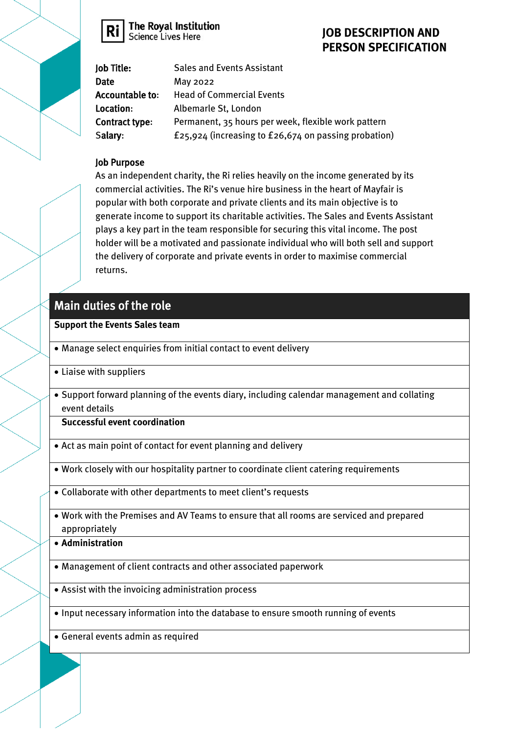

The Royal Institution<br>Science Lives Here

## **JOB DESCRIPTION AND PERSON SPECIFICATION**

| Job Title:      | <b>Sales and Events Assistant</b>                    |
|-----------------|------------------------------------------------------|
| <b>Date</b>     | May 2022                                             |
| Accountable to: | <b>Head of Commercial Events</b>                     |
| Location:       | Albemarle St, London                                 |
| Contract type:  | Permanent, 35 hours per week, flexible work pattern  |
| Salary:         | £25,924 (increasing to £26,674 on passing probation) |

#### Job Purpose

As an independent charity, the Ri relies heavily on the income generated by its commercial activities. The Ri's venue hire business in the heart of Mayfair is popular with both corporate and private clients and its main objective is to generate income to support its charitable activities. The Sales and Events Assistant plays a key part in the team responsible for securing this vital income. The post holder will be a motivated and passionate individual who will both sell and support the delivery of corporate and private events in order to maximise commercial returns.

# Main duties of the role

### **Support the Events Sales team**

- Manage select enquiries from initial contact to event delivery
- Liaise with suppliers
- Support forward planning of the events diary, including calendar management and collating event details

**Successful event coordination**

- Act as main point of contact for event planning and delivery
- Work closely with our hospitality partner to coordinate client catering requirements
- Collaborate with other departments to meet client's requests
- Work with the Premises and AV Teams to ensure that all rooms are serviced and prepared appropriately
- **Administration**
- Management of client contracts and other associated paperwork
- Assist with the invoicing administration process
- Input necessary information into the database to ensure smooth running of events
- General events admin as required